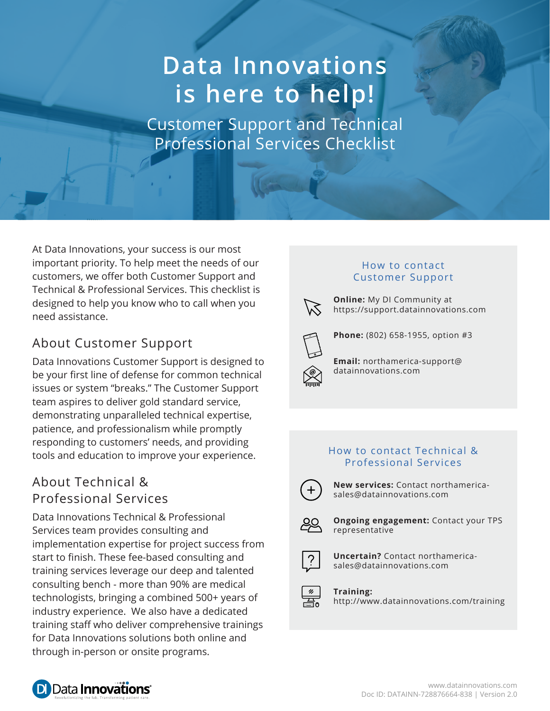# **Data Innovations is here to help!**

Customer Support and Technical Professional Services Checklist

At Data Innovations, your success is our most important priority. To help meet the needs of our customers, we offer both Customer Support and Technical & Professional Services. This checklist is designed to help you know who to call when you need assistance.

## About Customer Support

Data Innovations Customer Support is designed to be your first line of defense for common technical issues or system "breaks." The Customer Support team aspires to deliver gold standard service, demonstrating unparalleled technical expertise, patience, and professionalism while promptly responding to customers' needs, and providing tools and education to improve your experience.

## About Technical & Professional Services

Data Innovations Technical & Professional Services team provides consulting and implementation expertise for project success from start to finish. These fee-based consulting and training services leverage our deep and talented consulting bench - more than 90% are medical technologists, bringing a combined 500+ years of industry experience. We also have a dedicated training staff who deliver comprehensive trainings for Data Innovations solutions both online and through in-person or onsite programs.

#### How to contact Customer Support



**Online:** My DI Community at https://support.datainnovations.com



**Phone:** (802) 658-1955, option #3

**Email:** northamerica-support@ datainnovations.com

#### How to contact Technical & Professional Services



**New services:** Contact northamericasales@datainnovations.com



**Ongoing engagement:** Contact your TPS representative



**Uncertain?** Contact northamericasales@datainnovations.com

**Training:** http://www.datainnovations.com/training